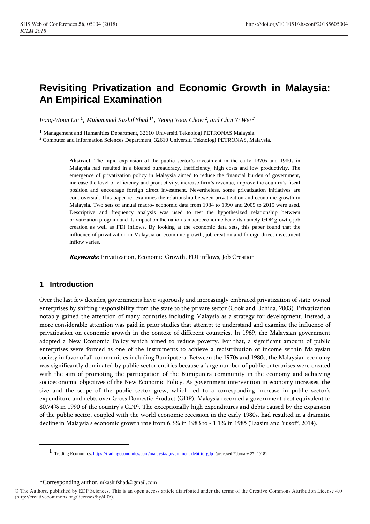# **Revisiting Privatization and Economic Growth in Malaysia: An Empirical Examination**

*Fong-Woon Lai* <sup>1</sup> , *Muhammad Kashif Shad* 1\* , *Yeong Yoon Chow* <sup>2</sup> *, and Chin Yi Wei <sup>2</sup>*

<sup>1</sup> Management and Humanities Department, 32610 Universiti Teknologi PETRONAS Malaysia.

<sup>2</sup> Computer and Information Sciences Department, 32610 Universiti Teknologi PETRONAS, Malaysia.

**Abstract.** The rapid expansion of the public sector's investment in the early 1970s and 1980s in Malaysia had resulted in a bloated bureaucracy, inefficiency, high costs and low productivity. The emergence of privatization policy in Malaysia aimed to reduce the financial burden of government, increase the level of efficiency and productivity, increase firm's revenue, improve the country's fiscal position and encourage foreign direct investment. Nevertheless, some privatization initiatives are controversial. This paper re- examines the relationship between privatization and economic growth in Malaysia. Two sets of annual macro- economic data from 1984 to 1990 and 2009 to 2015 were used. Descriptive and frequency analysis was used to test the hypothesized relationship between privatization program and its impact on the nation's macroeconomic benefits namely GDP growth, job creation as well as FDI inflows. By looking at the economic data sets, this paper found that the influence of privatization in Malaysia on economic growth, job creation and foreign direct investment inflow varies.

**Keywords:** Privatization, Economic Growth, FDI inflows, Job Creation

### **1 Introduction**

 $\overline{a}$ 

Over the last few decades, governments have vigorously and increasingly embraced privatization of state-owned enterprises by shifting responsibility from the state to the private sector (Cook and Uchida, 2003). Privatization notably gained the attention of many countries including Malaysia as a strategy for development. Instead, a more considerable attention was paid in prior studies that attempt to un[derstand and examine the](#page-8-0) influence of privatization on economic growth in the context of different countries. In 1969, the Malaysian government adopted a New Economic Policy which aimed to reduce poverty. For that, a significant amount of public enterprises were formed as one of the instruments to achieve a redistribution of income within Malaysian society in favor of all communities including Bumiputera. Between the 1970s and 1980s, the Malaysian economy was significantly dominated by public sector entities because a large number of public enterprises were created with the aim of promoting the participation of the Bumiputera community in the economy and achieving socioeconomic objectives of the New Economic Policy. As government intervention in economy increases, the size and the scope of the public sector grew, which led to a corresponding increase in public sector's expenditure and debts over Gross Domestic Product (GDP). Malaysia recorded a government debt equivalent to 80.74% in 1990 of the country's GDP<sup>1</sup> . The exceptionally high expenditures and debts caused by the expansion of the public sector, coupled with the world economic recession in the early 1980s, had resulted in a dramatic decline in Malaysia's economic growth rate from 6.3% in 1983 to - 1.1% in 1985 (Taasim and Yusoff, 2014).

© The Authors, published by EDP Sciences. This is an open access article distributed under the terms of the Creative Commons Attribution License 4.0 (http://creativecommons.org/licenses/by/4.0/).

<sup>1</sup> Trading Economics. https://tradingeconomics.com/malaysia/government-debt-to-gdp (accessed February 27, 2018)

<sup>\*</sup>Corresponding author: mkashifshad@gmail.com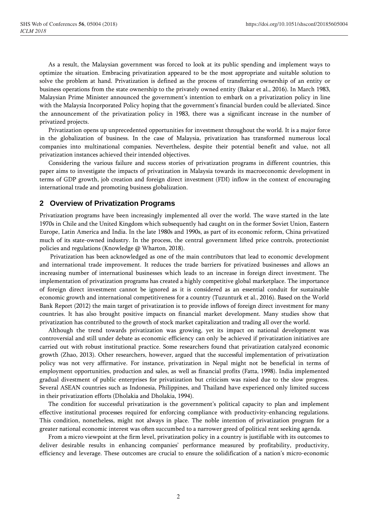As a result, the Malaysian government was forced to look at its public spending and implement ways to optimize the situation. Embracing privatization appeared to be the most appropriate and suitable solution to solve the problem at hand. Privatization is defined as the process of transferring ownership of an entity or business operations from the state ownership to the privately owned entity (Bakar et al., 2016). In March 1983, Malaysian Prime Minister announced the government's intention to embark on a privatization policy in line with the Malaysia Incorporated Policy hoping that the government's financia[l burden could be al](#page-8-1)leviated. Since the announcement of the privatization policy in 1983, there was a significant increase in the number of privatized projects.

Privatization opens up unprecedented opportunities for investment throughout the world. It is a major force in the globalization of business. In the case of Malaysia, privatization has transformed numerous local companies into multinational companies. Nevertheless, despite their potential benefit and value, not all privatization instances achieved their intended objectives.

Considering the various failure and success stories of privatization programs in different countries, this paper aims to investigate the impacts of privatization in Malaysia towards its macroeconomic development in terms of GDP growth, job creation and foreign direct investment (FDI) inflow in the context of encouraging international trade and promoting business globalization.

# **2 Overview of Privatization Programs**

Privatization programs have been increasingly implemented all over the world. The wave started in the late 1970s in Chile and the United Kingdom which subsequently had caught on in the former Soviet Union, Eastern Europe, Latin America and India. In the late 1980s and 1990s, as part of its economic reform, China privatized much of its state-owned industry. In the process, the central government lifted price controls, protectionist policies and regulations (Knowledge @ Wharton, 2018).

Privatization has been acknowledged as one of the main contributors that lead to economic development and international trade improvement. It reduces the trade barriers for privatized businesses and allows an increasing number of international businesses which leads to an increase in foreign direct investment. The implementation of privatization programs has created a highly competitive global marketplace. The importance of foreign direct investment cannot be ignored as it is considered as an essential conduit for sustainable economic growth and international competitiveness for a country (Tuzunturk et al., 2016). Based on the World Bank Report (2012) the main target of privatization is to provide inflows of foreign direct investment for many countries. It has also brought positive impacts on financial mar[ket development. Many](#page-9-0) studies show that privatization has contributed to the growth of stock market capitalization and trading all over the world.

Although the trend towards privatization was growing, yet its impact on national development was controversial and still under debate as economic efficiency can only be achieved if privatization initiatives are carried out with robust institutional practice. Some researchers found that privatization catalyzed economic growth (Zhao, 2013). Other researchers, however, argued that the successful implementation of privatization policy was not very affirmative. For instance, privatization in Nepal might not be beneficial in terms of employm[ent opportuni](#page-9-1)ties, production and sales, as well as financial profits (Fatta, 1998). India implemented gradual divestment of public enterprises for privatization but criticism was raised due to the slow progress. Several ASEAN countries such as Indonesia, Philippines, and Thailand have e[xperienced onl](#page-8-2)y limited success in their privatization efforts (Dholakia and Dholakia, 1994).

The condition for successful privatization is the government's political capacity to plan and implement effective institutional process[es required for enforcing com](#page-8-3)pliance with productivity-enhancing regulations. This condition, nonetheless, might not always in place. The noble intention of privatization program for a greater national economic interest was often succumbed to a narrower greed of political rent seeking agenda.

From a micro viewpoint at the firm level, privatization policy in a country is justifiable with its outcomes to deliver desirable results in enhancing companies' performance measured by profitability, productivity, efficiency and leverage. These outcomes are crucial to ensure the solidification of a nation's micro-economic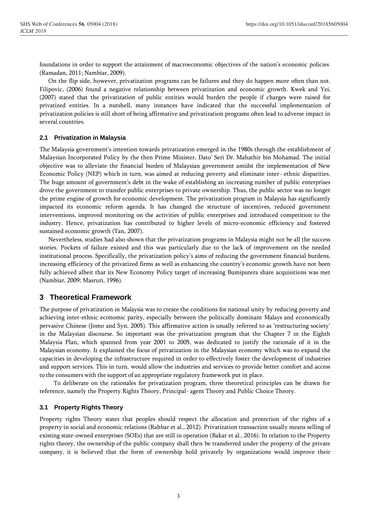foundations in order to support the attainment of macroeconomic objectives of the nation's economic policies (Ramadan, 2011; Nambiar, 2009).

On the flip side, however, privatization programs can be failures and they do happen more often than not. F[ilipovic, \(2006\)](#page-9-2) f[ound a negative](#page-9-3) relationship between privatization and economic growth. Kwek and Yei, (2007) stated that the privatization of public entities would burden the people if charges were raised for p[rivatized entities.](#page-8-4) In a nutshell, many instances have indicated that the successful impl[ementation of](#page-9-4)  privatization policies is still short of being affirmative and privatization programs often lead to adverse impact in several countries.

#### **2.1 Privatization in Malaysia**

The Malaysia government's intention towards privatization emerged in the 1980s through the establishment of Malaysian Incorporated Policy by the then Prime Minister, Dato' Seri Dr. Mahathir bin Mohamad. The initial objective was to alleviate the financial burden of Malaysian government amidst the implementation of New Economic Policy (NEP) which in turn, was aimed at reducing poverty and eliminate inter- ethnic disparities. The huge amount of government's debt in the wake of establishing an increasing number of public enterprises drove the government to transfer public enterprises to private ownership. Thus, the public sector was no longer the prime engine of growth for economic development. The privatization program in Malaysia has significantly impacted its economic reform agenda. It has changed the structure of incentives, reduced government interventions, improved monitoring on the activities of public enterprises and introduced competition to the industry. Hence, privatization has contributed to higher levels of micro-economic efficiency and fostered sustained economic growth (Tan, 2007).

Nevertheless, studies had also shown that the privatization programs in Malaysia might not be all the success stories. Pockets of failure e[xisted and th](#page-9-5)is was particularly due to the lack of improvement on the needed institutional process. Specifically, the privatization policy's aims of reducing the government financial burdens, increasing efficiency of the privatized firms as well as enhancing the country's economic growth have not been fully achieved albeit that its New Economy Policy target of increasing Bumiputera share acquisitions was met (Nambiar, 2009; Masruri, 1996).

# **3 [Theoretical](#page-9-3) [Framework](#page-9-6)**

The purpose of privatization in Malaysia was to create the conditions for national unity by reducing poverty and achieving inter-ethnic economic parity, especially between the politically dominant Malays and economically pervasive Chinese (Jomo and Syn, 2005). This affirmative action is usually referred to as 'restructuring society' in the Malaysian discourse. So important was the privatization program that the Chapter 7 in the Eighth Malaysia Plan, whi[ch spanned from year](#page-9-7) 2001 to 2005, was dedicated to justify the rationale of it in the Malaysian economy. It explained the focus of privatization in the Malaysian economy which was to expand the capacities in developing the infrastructure required in order to effectively foster the development of industries and support services. This in turn, would allow the industries and services to provide better comfort and access to the consumers with the support of an appropriate regulatory framework put in place.

To deliberate on the rationales for privatization program, three theoretical principles can be drawn for reference, namely the Property Rights Theory, Principal- agent Theory and Public Choice Theory.

#### **3.1 Property Rights Theory**

Property rights Theory states that peoples should respect the allocation and protection of the rights of a property in social and economic relations (Rahbar et al., 2012). Privatization transaction usually means selling of existing state-owned enterprises (SOEs) that are still in operation (Bakar et al., 2016). In relation to the Property rights theory, the ownership of the public [company](#page-9-8) shall then be transferred under the property of the private company, it is believed that the form of ownership hold priva[tely by organizatio](#page-8-1)ns would improve their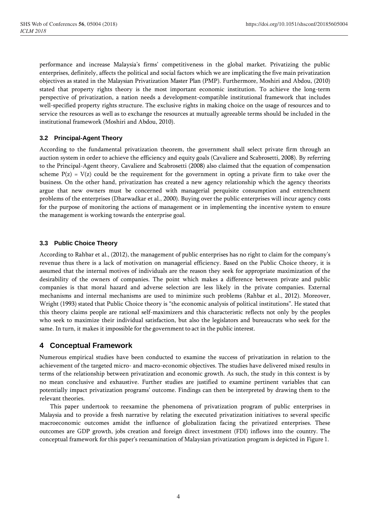performance and increase Malaysia's firms' competitiveness in the global market. Privatizing the public enterprises, definitely, affects the political and social factors which we are implicating the five main privatization objectives as stated in the Malaysian Privatization Master Plan (PMP). Furthermore, Moshiri and Abdou, (2010) stated that property rights theory is the most important economic institution. To achieve the long-term perspective of privatization, a nation needs a development-compatible institutional [framework that includes](#page-9-9)  well-specified property rights structure. The exclusive rights in making choice on the usage of resources and to service the resources as well as to exchange the resources at mutually agreeable terms should be included in the institutional framework (Moshiri and Abdou, 2010).

### **3.2 Principal-Agent T[heory](#page-9-9)**

According to the fundamental privatization theorem, the government shall select private firm through an auction system in order to achieve the efficiency and equity goals (Cavaliere and Scabrosetti, 2008). By referring to the Principal-Agent theory, Cavaliere and Scabrosetti (2008) also claimed that the equation of compensation scheme  $P(z) = V(z)$  could be the requirement for the governme[nt in opting a private firm to tak](#page-8-5)e over the business. On the other hand, pr[ivatization has created a new age](#page-8-5)ncy relationship which the agency theorists argue that new owners must be concerned with managerial perquisite consumption and entrenchment problems of the enterprises (Dharwadkar et al., 2000). Buying over the public enterprises will incur agency costs for the purpose of monitoring the actions of management or in implementing the incentive system to ensure the management is working t[owards the enterprise goal](#page-8-6).

#### **3.3 Public Choice Theory**

According to Rahbar et al., (2012), the management of public enterprises has no right to claim for the company's revenue thus there is a lack of motivation on managerial efficiency. Based on the Public Choice theory, it is assumed that t[he internal motives of](#page-9-8) individuals are the reason they seek for appropriate maximization of the desirability of the owners of companies. The point which makes a difference between private and public companies is that moral hazard and adverse selection are less likely in the private companies. External mechanisms and internal mechanisms are used to minimize such problems (Rahbar et al., 2012). Moreover, Wright (1993) stated that Public Choice theory is "the economic analysis of political institutions". He stated that this theory claims people are rational self-maximizers and this characteristic r[eflects not only by th](#page-9-8)e peoples [who seek to max](#page-9-10)imize their individual satisfaction, but also the legislators and bureaucrats who seek for the same. In turn, it makes it impossible for the government to act in the public interest.

# **4 Conceptual Framework**

Numerous empirical studies have been conducted to examine the success of privatization in relation to the achievement of the targeted micro- and macro-economic objectives. The studies have delivered mixed results in terms of the relationship between privatization and economic growth. As such, the study in this context is by no mean conclusive and exhaustive. Further studies are justified to examine pertinent variables that can potentially impact privatization programs' outcome. Findings can then be interpreted by drawing them to the relevant theories.

This paper undertook to reexamine the phenomena of privatization program of public enterprises in Malaysia and to provide a fresh narrative by relating the executed privatization initiatives to several specific macroeconomic outcomes amidst the influence of globalization facing the privatized enterprises. These outcomes are GDP growth, jobs creation and foreign direct investment (FDI) inflows into the country. The conceptual framework for this paper's reexamination of Malaysian privatization program is depicted in Figure 1.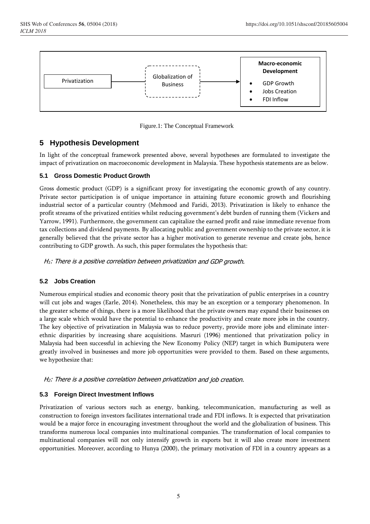

Figure.1: The Conceptual Framework

# **5 Hypothesis Development**

In light of the conceptual framework presented above, several hypotheses are formulated to investigate the impact of privatization on macroeconomic development in Malaysia. These hypothesis statements are as below.

#### **5.1 Gross Domestic Product Growth**

Gross domestic product (GDP) is a significant proxy for investigating the economic growth of any country. Private sector participation is of unique importance in attaining future economic growth and flourishing industrial sector of a particular country (Mehmood and Faridi, 2013). Privatization is likely to enhance the profit streams of the privatized entities whilst reducing government's debt burden of running them (Vickers and Yarrow, 1991). Furthermore, the governm[ent can capitalize the earned pr](#page-9-11)ofit and raise immediate revenue from tax collections and dividend payments. By allocating public and government ownership to the private [sector,](#page-9-12) it is g[enerally believ](#page-9-12)ed that the private sector has a higher motivation to generate revenue and create jobs, hence contributing to GDP growth. As such, this paper formulates the hypothesis that:

 $H_1$ : There is a positive correlation between privatization and GDP growth.

### **5.2 Jobs Creation**

Numerous empirical studies and economic theory posit that the privatization of public enterprises in a country will cut jobs and wages (Earle, 2014). Nonetheless, this may be an exception or a temporary phenomenon. In the greater scheme of things, there is a more likelihood that the private owners may expand their businesses on a large scale which would [have the pot](#page-8-7)ential to enhance the productivity and create more jobs in the country. The key objective of privatization in Malaysia was to reduce poverty, provide more jobs and eliminate interethnic disparities by increasing share acquisitions. Masruri (1996) mentioned that privatization policy in Malaysia had been successful in achieving the New Economy Policy (NEP) target in which Bumiputera were greatly involved in businesses and more job opportuni[ties were](#page-9-6) provided to them. Based on these arguments, we hypothesize that:

#### $H<sub>2</sub>$ : There is a positive correlation between privatization and job creation.

### **5.3 Foreign Direct Investment Inflows**

Privatization of various sectors such as energy, banking, telecommunication, manufacturing as well as construction to foreign investors facilitates international trade and FDI inflows. It is expected that privatization would be a major force in encouraging investment throughout the world and the globalization of business. This transforms numerous local companies into multinational companies. The transformation of local companies to multinational companies will not only intensify growth in exports but it will also create more investment opportunities. Moreover, according to Hunya (2000), the primary motivation of FDI in a country appears as a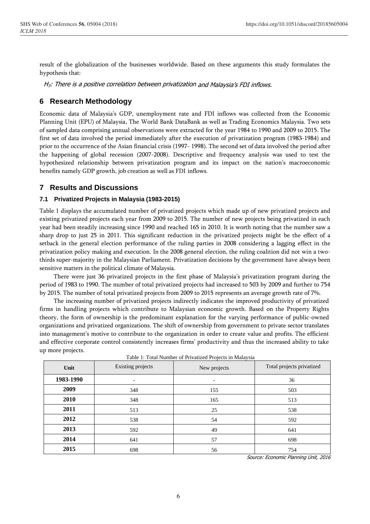result of the globalization of the businesses worldwide. Based on these arguments this study formulates the hypothesis that:

<sup>H</sup>3: There is a positive correlation between privatization and Malaysia's FDI inflows.

# **6 Research Methodology**

Economic data of Malaysia's GDP, unemployment rate and FDI inflows was collected from the Economic Planning Unit (EPU) of Malaysia, The World Bank DataBank as well as Trading Economics Malaysia. Two sets of sampled data comprising annual observations were extracted for the year 1984 to 1990 and 2009 to 2015. The first set of data involved the period immediately after the execution of privatization program (1983-1984) and prior to the occurrence of the Asian financial crisis (1997- 1998). The second set of data involved the period after the happening of global recession (2007-2008). Descriptive and frequency analysis was used to test the hypothesized relationship between privatization program and its impact on the nation's macroeconomic benefits namely GDP growth, job creation as well as FDI inflows.

# **7 Results and Discussions**

### **7.1 Privatized Projects in Malaysia (1983-2015)**

Table 1 displays the accumulated number of privatized projects which made up of new privatized projects and existing privatized projects each year from 2009 to 2015. The number of new projects being privatized in each year had been steadily increasing since 1990 and reached 165 in 2010. It is worth noting that the number saw a sharp drop to just 25 in 2011. This significant reduction in the privatized projects might be the effect of a setback in the general election performance of the ruling parties in 2008 considering a lagging effect in the privatization policy making and execution. In the 2008 general election, the ruling coalition did not win a twothirds super-majority in the Malaysian Parliament. Privatization decisions by the government have always been sensitive matters in the political climate of Malaysia.

There were just 36 privatized projects in the first phase of Malaysia's privatization program during the period of 1983 to 1990. The number of total privatized projects had increased to 503 by 2009 and further to 754 by 2015. The number of total privatized projects from 2009 to 2015 represents an average growth rate of 7%.

The increasing number of privatized projects indirectly indicates the improved productivity of privatized firms in handling projects which contribute to Malaysian economic growth. Based on the Property Rights theory, the form of ownership is the predominant explanation for the varying performance of public-owned organizations and privatized organizations. The shift of ownership from government to private sector translates into management's motive to contribute to the organization in order to create value and profits. The efficient and effective corporate control consistently increases firms' productivity and thus the increased ability to take up more projects.

| Unit      | Existing projects | Lable 1. Fotal indiffuse of Fittvalized Flojects in Malaysia<br>New projects | Total projects privatized |  |  |  |
|-----------|-------------------|------------------------------------------------------------------------------|---------------------------|--|--|--|
| 1983-1990 |                   | $\overline{\phantom{a}}$                                                     | 36                        |  |  |  |
| 2009      | 348               | 155                                                                          | 503                       |  |  |  |
| 2010      | 348               | 165                                                                          | 513                       |  |  |  |
| 2011      | 513               | 25                                                                           | 538                       |  |  |  |
| 2012      | 538               | 54                                                                           | 592                       |  |  |  |
| 2013      | 592               | 49                                                                           | 641                       |  |  |  |
| 2014      | 641               | 57                                                                           | 698                       |  |  |  |
| 2015      | 698               | 56                                                                           | 754                       |  |  |  |

Table 1: Total Number of Privatized Projects in Malaysia

Source: Economic Planning Unit, 2016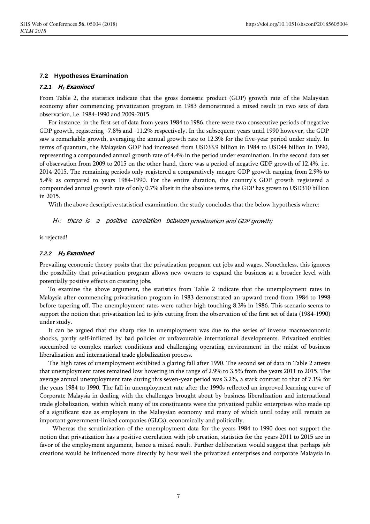#### **7.2 Hypotheses Examination**

#### *7.2.1* **H<sup>1</sup> Examined**

From Table 2, the statistics indicate that the gross domestic product (GDP) growth rate of the Malaysian economy after commencing privatization program in 1983 demonstrated a mixed result in two sets of data observation, i.e. 1984-1990 and 2009-2015.

For instance, in the first set of data from years 1984 to 1986, there were two consecutive periods of negative GDP growth, registering -7.8% and -11.2% respectively. In the subsequent years until 1990 however, the GDP saw a remarkable growth, averaging the annual growth rate to 12.3% for the five-year period under study. In terms of quantum, the Malaysian GDP had increased from USD33.9 billion in 1984 to USD44 billion in 1990, representing a compounded annual growth rate of 4.4% in the period under examination. In the second data set of observation from 2009 to 2015 on the other hand, there was a period of negative GDP growth of 12.4%, i.e. 2014-2015. The remaining periods only registered a comparatively meagre GDP growth ranging from 2.9% to 5.4% as compared to years 1984-1990. For the entire duration, the country's GDP growth registered a compounded annual growth rate of only 0.7% albeit in the absolute terms, the GDP has grown to USD310 billion in 2015.

With the above descriptive statistical examination, the study concludes that the below hypothesis where:

 $H_1$ : there is a positive correlation between privatization and GDP growth;

is rejected!

#### *7.2.2* **H<sup>2</sup> Examined**

Prevailing economic theory posits that the privatization program cut jobs and wages. Nonetheless, this ignores the possibility that privatization program allows new owners to expand the business at a broader level with potentially positive effects on creating jobs.

To examine the above argument, the statistics from Table 2 indicate that the unemployment rates in Malaysia after commencing privatization program in 1983 demonstrated an upward trend from 1984 to 1998 before tapering off. The unemployment rates were rather high touching 8.3% in 1986. This scenario seems to support the notion that privatization led to jobs cutting from the observation of the first set of data (1984-1990) under study.

It can be argued that the sharp rise in unemployment was due to the series of inverse macroeconomic shocks, partly self-inflicted by bad policies or unfavourable international developments. Privatized entities succumbed to complex market conditions and challenging operating environment in the midst of business liberalization and international trade globalization process.

The high rates of unemployment exhibited a glaring fall after 1990. The second set of data in Table 2 attests that unemployment rates remained low hovering in the range of 2.9% to 3.5% from the years 2011 to 2015. The average annual unemployment rate during this seven-year period was 3.2%, a stark contrast to that of 7.1% for the years 1984 to 1990. The fall in unemployment rate after the 1990s reflected an improved learning curve of Corporate Malaysia in dealing with the challenges brought about by business liberalization and international trade globalization, within which many of its constituents were the privatized public enterprises who made up of a significant size as employers in the Malaysian economy and many of which until today still remain as important government-linked companies (GLCs), economically and politically.

Whereas the scrutinization of the unemployment data for the years 1984 to 1990 does not support the notion that privatization has a positive correlation with job creation, statistics for the years 2011 to 2015 are in favor of the employment argument, hence a mixed result. Further deliberation would suggest that perhaps job creations would be influenced more directly by how well the privatized enterprises and corporate Malaysia in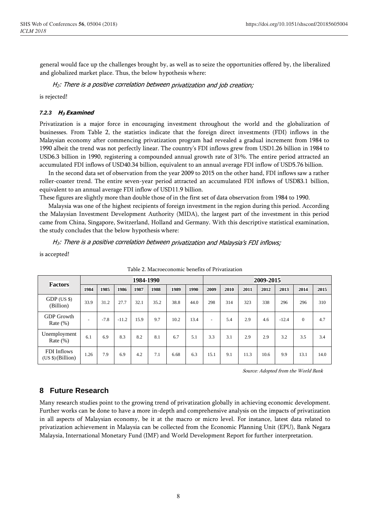general would face up the challenges brought by, as well as to seize the opportunities offered by, the liberalized and globalized market place. Thus, the below hypothesis where:

 $H_2$ : There is a positive correlation between privatization and job creation;

is rejected!

#### *7.2.3* **H<sup>3</sup> Examined**

Privatization is a major force in encouraging investment throughout the world and the globalization of businesses. From Table 2, the statistics indicate that the foreign direct investments (FDI) inflows in the Malaysian economy after commencing privatization program had revealed a gradual increment from 1984 to 1990 albeit the trend was not perfectly linear. The country's FDI inflows grew from USD1.26 billion in 1984 to USD6.3 billion in 1990, registering a compounded annual growth rate of 31%. The entire period attracted an accumulated FDI inflows of USD40.34 billion, equivalent to an annual average FDI inflow of USD5.76 billion.

In the second data set of observation from the year 2009 to 2015 on the other hand, FDI inflows saw a rather roller-coaster trend. The entire seven-year period attracted an accumulated FDI inflows of USD83.1 billion, equivalent to an annual average FDI inflow of USD11.9 billion.

These figures are slightly more than double those of in the first set of data observation from 1984 to 1990.

Malaysia was one of the highest recipients of foreign investment in the region during this period. According the Malaysian Investment Development Authority (MIDA), the largest part of the investment in this period came from China, Singapore, Switzerland, Holland and Germany. With this descriptive statistical examination, the study concludes that the below hypothesis where:

<sup>H</sup>3: There is a positive correlation between privatization and Malaysia's FDI inflows;

is accepted!

| <b>Factors</b>                     | 1984-1990 |        |         |      |      |      | 2009-2015 |                          |      |      |      |         |              |      |
|------------------------------------|-----------|--------|---------|------|------|------|-----------|--------------------------|------|------|------|---------|--------------|------|
|                                    | 1984      | 1985   | 1986    | 1987 | 1988 | 1989 | 1990      | 2009                     | 2010 | 2011 | 2012 | 2013    | 2014         | 2015 |
| $GDP$ (US \$)<br>(Billion)         | 33.9      | 31.2   | 27.7    | 32.1 | 35.2 | 38.8 | 44.0      | 298                      | 314  | 323  | 338  | 296     | 296          | 310  |
| <b>GDP</b> Growth<br>Rate $(\%)$   |           | $-7.8$ | $-11.2$ | 15.9 | 9.7  | 10.2 | 13.4      | $\overline{\phantom{a}}$ | 5.4  | 2.9  | 4.6  | $-12.4$ | $\mathbf{0}$ | 4.7  |
| Unemployment<br>Rate $(\% )$       | 6.1       | 6.9    | 8.3     | 8.2  | 8.1  | 6.7  | 5.1       | 3.3                      | 3.1  | 2.9  | 2.9  | 3.2     | 3.5          | 3.4  |
| FDI Inflows<br>$(US \$ ) (Billion) | 1.26      | 7.9    | 6.9     | 4.2  | 7.1  | 6.68 | 6.3       | 15.1                     | 9.1  | 11.3 | 10.6 | 9.9     | 13.1         | 14.0 |

Table 2. Macroeconomic benefits of Privatization

Source: Adopted from the World Bank

## **8 Future Research**

Many research studies point to the growing trend of privatization globally in achieving economic development. Further works can be done to have a more in-depth and comprehensive analysis on the impacts of privatization in all aspects of Malaysian economy, be it at the macro or micro level. For instance, latest data related to privatization achievement in Malaysia can be collected from the Economic Planning Unit (EPU), Bank Negara Malaysia, International Monetary Fund (IMF) and World Development Report for further interpretation.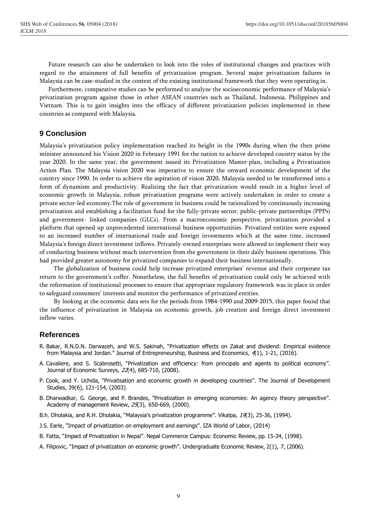Future research can also be undertaken to look into the roles of institutional changes and practices with regard to the attainment of full benefits of privatization program. Several major privatization failures in Malaysia can be case-studied in the context of the existing institutional framework that they were operating in.

Furthermore, comparative studies can be performed to analyze the socioeconomic performance of Malaysia's privatization program against those in other ASEAN countries such as Thailand, Indonesia, Philippines and Vietnam. This is to gain insights into the efficacy of different privatization policies implemented in these countries as compared with Malaysia.

#### **9 Conclusion**

Malaysia's privatization policy implementation reached its height in the 1990s during when the then prime minister announced his Vision 2020 in February 1991 for the nation to achieve developed country status by the year 2020. In the same year, the government issued its Privatization Master-plan, including a Privatization Action Plan. The Malaysia vision 2020 was imperative to ensure the onward economic development of the country since 1990. In order to achieve the aspiration of vision 2020, Malaysia needed to be transformed into a form of dynamism and productivity. Realizing the fact that privatization would result in a higher level of economic growth in Malaysia, robust privatization programs were actively undertaken in order to create a private sector-led economy.The role of government in business could be rationalized by continuously increasing privatization and establishing a facilitation fund for the fully-private sector, public-private partnerships (PPPs) and government- linked companies (GLCs). From a macroeconomic perspective, privatization provided a platform that opened up unprecedented international business opportunities. Privatized entities were exposed to an increased number of international trade and foreign investments which at the same time, increased Malaysia's foreign direct investment inflows. Privately-owned enterprises were allowed to implement their way of conducting business without much intervention from the government in their daily business operations. This had provided greater autonomy for privatized companies to expand their business internationally.

The globalization of business could help increase privatized enterprises' revenue and their corporate tax return to the government's coffer. Nonetheless, the full benefits of privatization could only be achieved with the reformation of institutional processes to ensure that appropriate regulatory framework was in place in order to safeguard consumers' interests and monitor the performance of privatized entities.

By looking at the economic data sets for the periods from 1984-1990 and 2009-2015, this paper found that the influence of privatization in Malaysia on economic growth, job creation and foreign direct investment inflow varies.

#### **References**

- R. Bakar, R.N.D.N. Darwazeh, and W.S. Sakinah, "Privatization effects on Zakat and dividend: Empirical evidence from Malaysia and Jordan." Journal of Entrepreneurship, Business and Economics, 4(1), 1-21, (2016).
- <span id="page-8-1"></span>A. Cavaliere, and S. Scabrosetti, "Privatization and efficiency: from principals and agents to political economy". Journal of Economic Surveys, 22(4), 685-710, (2008).
- <span id="page-8-5"></span>P. Cook, and Y. Uchida, "Privatisation and economic growth in developing countries". The Journal of Development Studies, 39(6), 121-154, (2003).
- <span id="page-8-0"></span>B. Dharwadkar, G. George, and P. Brandes, "Privatization in emerging economies: An agency theory perspective". Academy of management Review, 25(3), 650-669, (2000).
- <span id="page-8-6"></span>B.h. Dholakia, and R.H. Dholakia, "Malaysia's privatization programme". Vikalpa, 19(3), 25-36, (1994).
- <span id="page-8-3"></span>J.S. Earle, "Impact of privatization on employment and earnings". IZA World of Labor, (2014)
- <span id="page-8-7"></span>B. Fatta, "Impact of Privatization in Nepal". Nepal Commerce Campus: Economic Review, pp. 15-34, (1998).
- <span id="page-8-4"></span><span id="page-8-2"></span>A. Filipovic, "Impact of privatization on economic growth". Undergraduate Economic Review, 2(1), 7, (2006).